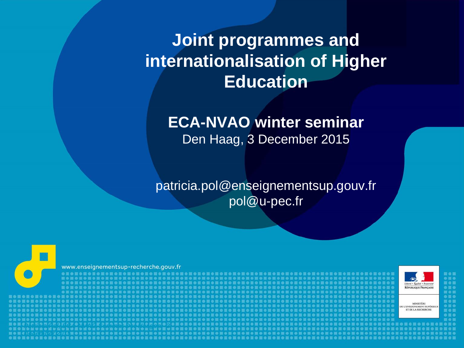## **Joint programmes and internationalisation of Higher Education**

#### **ECA-NVAO winter seminar** Den Haag, 3 December 2015

patricia.pol@enseignementsup.gouv.fr pol@u-pec.fr

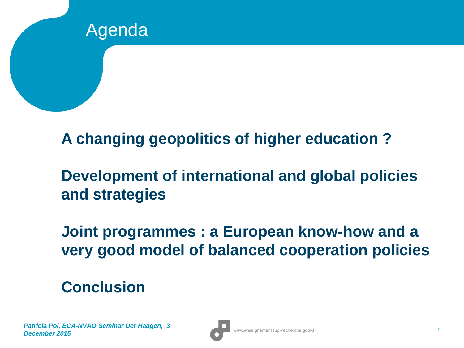

**A changing geopolitics of higher education ?**

## **Development of international and global policies and strategies**

**Joint programmes : a European know-how and a very good model of balanced cooperation policies**

### **Conclusion**

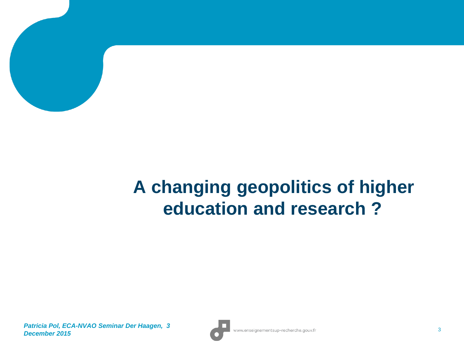

## **A changing geopolitics of higher education and research ?**

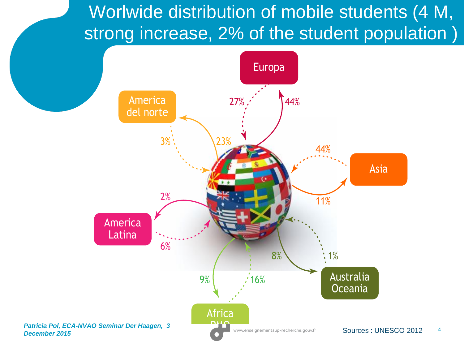Worlwide distribution of mobile students (4 M, strong increase, 2% of the student population)

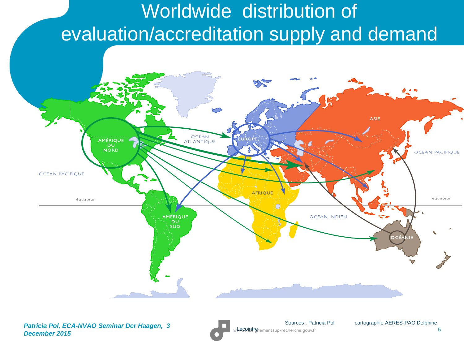# Worldwide distribution of evaluation/accreditation supply and demand



Sources : Patricia Pol cartographie AERES-PAO Delphine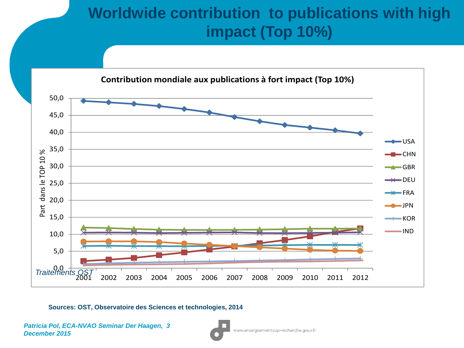#### 6 **Worldwide contribution to publications with high impact (Top 10%)**



**Sources: OST, Observatoire des Sciences et technologies, 2014**

*Patricia Pol, ECA-NVAO Seminar Der Haagen, 3 December 2015*

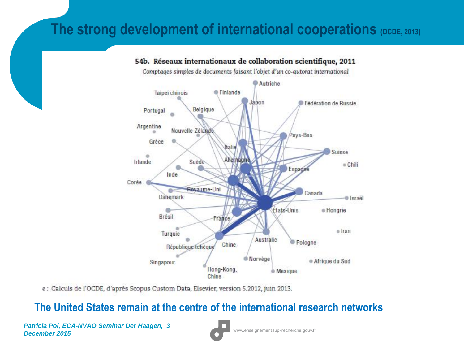#### **The strong development of international cooperations (OCDE, 2013)**



#### 54b. Réseaux internationaux de collaboration scientifique, 2011

Comptages simples de documents faisant l'objet d'un co-autorat international

.e : Calculs de l'OCDE, d'après Scopus Custom Data, Elsevier, version 5.2012, juin 2013.

#### **The United States remain at the centre of the international research networks**

*Patricia Pol, ECA-NVAO Seminar Der Haagen, 3 December 2015*

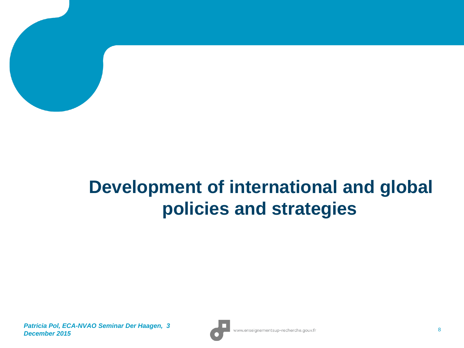

## **Development of international and global policies and strategies**

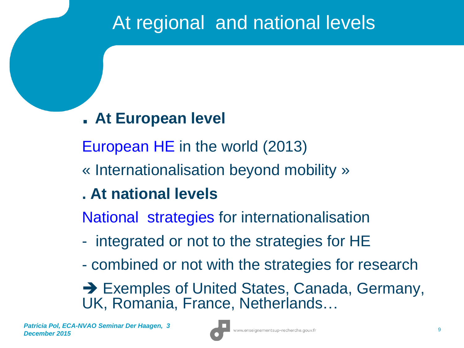## At regional and national levels

### •**. At European level**

•European HE in the world (2013)

•« Internationalisation beyond mobility »

## • **. At national levels**

•National strategies for internationalisation

- - integrated or not to the strategies for HE
- - combined or not with the strategies for research

**→ Exemples of United States, Canada, Germany,** UK, Romania, France, Netherlands…

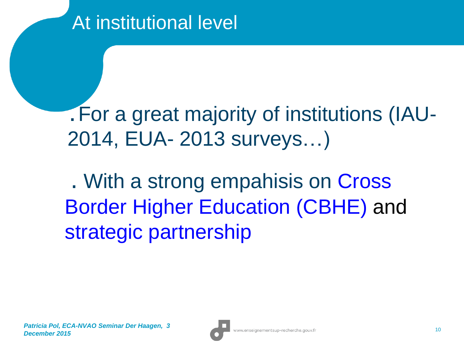**.** For a great majority of institutions (IAU-2014, EUA- 2013 surveys…)

. With a strong empahisis on Cross Border Higher Education (CBHE) and strategic partnership

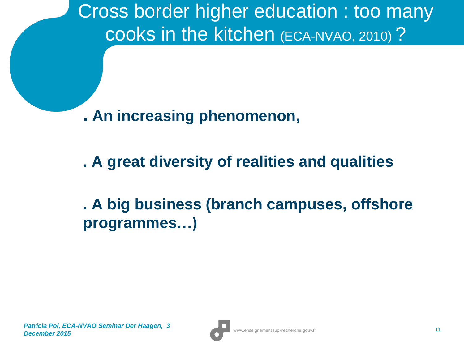Cross border higher education : too many cooks in the kitchen (ECA-NVAO, 2010) ?

**. An increasing phenomenon,**

**. A great diversity of realities and qualities**

**. A big business (branch campuses, offshore programmes…)**

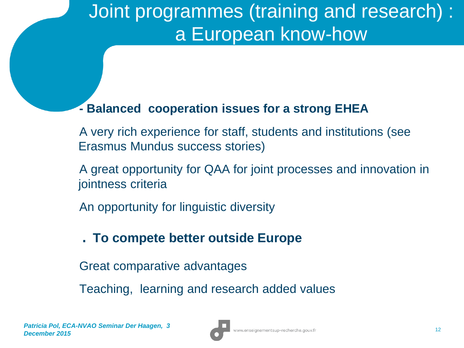# Joint programmes (training and research) : a European know-how

#### **- Balanced cooperation issues for a strong EHEA**

A very rich experience for staff, students and institutions (see Erasmus Mundus success stories)

A great opportunity for QAA for joint processes and innovation in jointness criteria

An opportunity for linguistic diversity

#### . **To compete better outside Europe**

Great comparative advantages

Teaching, learning and research added values

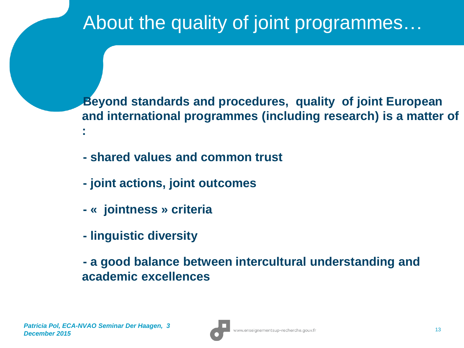# About the quality of joint programmes…

**Beyond standards and procedures, quality of joint European and international programmes (including research) is a matter of :**

- **- shared values and common trust**
- **- joint actions, joint outcomes**
- **- « jointness » criteria**
- **- linguistic diversity**
- **- a good balance between intercultural understanding and academic excellences**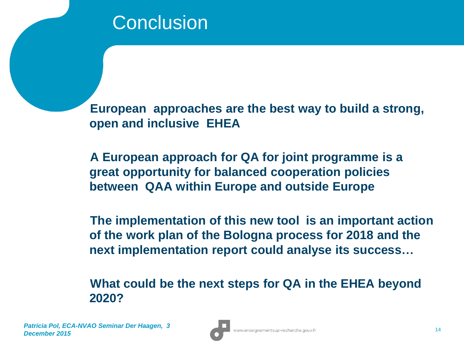**European approaches are the best way to build a strong, open and inclusive EHEA**

**A European approach for QA for joint programme is a great opportunity for balanced cooperation policies between QAA within Europe and outside Europe**

**The implementation of this new tool is an important action of the work plan of the Bologna process for 2018 and the next implementation report could analyse its success…**

**What could be the next steps for QA in the EHEA beyond 2020?**

*Patricia Pol, ECA-NVAO Seminar Der Haagen, 3*  **December 2015** 2015 2017 2018 2022 2023 2024 2022 2022 2023 2024 2022 2023 2024 2022 2023 2024 2022 2023 2024 2022 2023 2022 2023 2024 2022 2023 2024 2022 2023 2022 2023 2022 2023 2022 2023 2022 2023 2022 2023 2023 2023 2